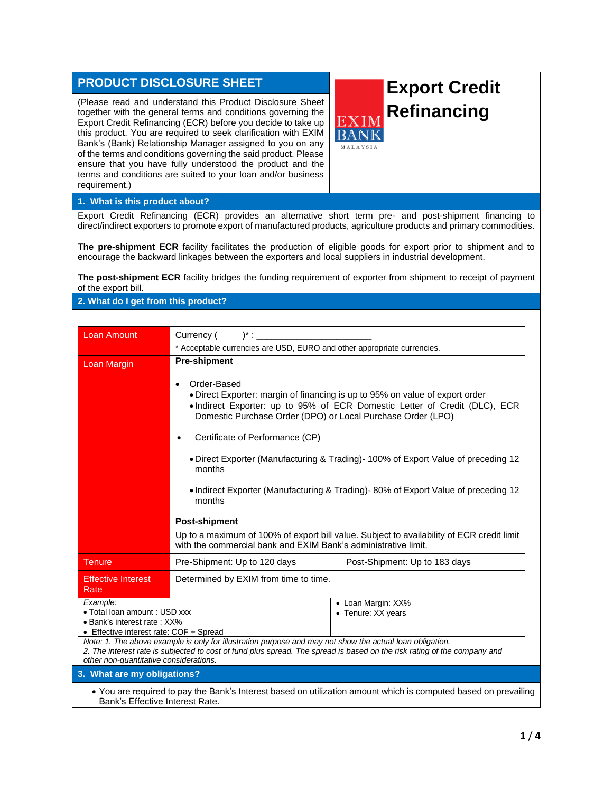## **PRODUCT DISCLOSURE SHEET**

(Please read and understand this Product Disclosure Sheet together with the general terms and conditions governing the Export Credit Refinancing (ECR) before you decide to take up this product. You are required to seek clarification with EXIM Bank's (Bank) Relationship Manager assigned to you on any of the terms and conditions governing the said product. Please ensure that you have fully understood the product and the terms and conditions are suited to your loan and/or business requirement.)

## **Export Credit Refinancing**

MALAYSIA

## **1. What is this product about?**

Export Credit Refinancing (ECR) provides an alternative short term pre- and post-shipment financing to direct/indirect exporters to promote export of manufactured products, agriculture products and primary commodities.

**The pre-shipment ECR** facility facilitates the production of eligible goods for export prior to shipment and to encourage the backward linkages between the exporters and local suppliers in industrial development.

**The post-shipment ECR** facility bridges the funding requirement of exporter from shipment to receipt of payment of the export bill.

## **2. What do I get from this product?**

| Loan Amount                                                                                                                                        | $)^*$ :<br>Currency (                                                                                                                                                                                                                                                            |  |  |  |
|----------------------------------------------------------------------------------------------------------------------------------------------------|----------------------------------------------------------------------------------------------------------------------------------------------------------------------------------------------------------------------------------------------------------------------------------|--|--|--|
|                                                                                                                                                    | * Acceptable currencies are USD, EURO and other appropriate currencies.                                                                                                                                                                                                          |  |  |  |
| Loan Margin                                                                                                                                        | <b>Pre-shipment</b><br>Order-Based<br>$\bullet$<br>• Direct Exporter: margin of financing is up to 95% on value of export order<br>. Indirect Exporter: up to 95% of ECR Domestic Letter of Credit (DLC), ECR<br>Domestic Purchase Order (DPO) or Local Purchase Order (LPO)     |  |  |  |
|                                                                                                                                                    | Certificate of Performance (CP)<br>• Direct Exporter (Manufacturing & Trading) - 100% of Export Value of preceding 12                                                                                                                                                            |  |  |  |
|                                                                                                                                                    | months<br>• Indirect Exporter (Manufacturing & Trading) - 80% of Export Value of preceding 12<br>months                                                                                                                                                                          |  |  |  |
|                                                                                                                                                    | <b>Post-shipment</b>                                                                                                                                                                                                                                                             |  |  |  |
|                                                                                                                                                    | Up to a maximum of 100% of export bill value. Subject to availability of ECR credit limit<br>with the commercial bank and EXIM Bank's administrative limit.                                                                                                                      |  |  |  |
| <b>Tenure</b>                                                                                                                                      | Pre-Shipment: Up to 120 days<br>Post-Shipment: Up to 183 days                                                                                                                                                                                                                    |  |  |  |
| <b>Effective Interest</b><br>Rate                                                                                                                  | Determined by EXIM from time to time.                                                                                                                                                                                                                                            |  |  |  |
| Example:<br>• Total loan amount : USD xxx<br>• Bank's interest rate: XX%<br>• Effective interest rate: COF + Spread                                | • Loan Margin: XX%<br>• Tenure: XX years<br>Note: 1. The above example is only for illustration purpose and may not show the actual loan obligation.<br>2. The interest rate is subjected to cost of fund plus spread. The spread is based on the risk rating of the company and |  |  |  |
| other non-quantitative considerations.                                                                                                             |                                                                                                                                                                                                                                                                                  |  |  |  |
| 3. What are my obligations?                                                                                                                        |                                                                                                                                                                                                                                                                                  |  |  |  |
| • You are required to pay the Bank's Interest based on utilization amount which is computed based on prevailing<br>Bank's Effective Interest Rate. |                                                                                                                                                                                                                                                                                  |  |  |  |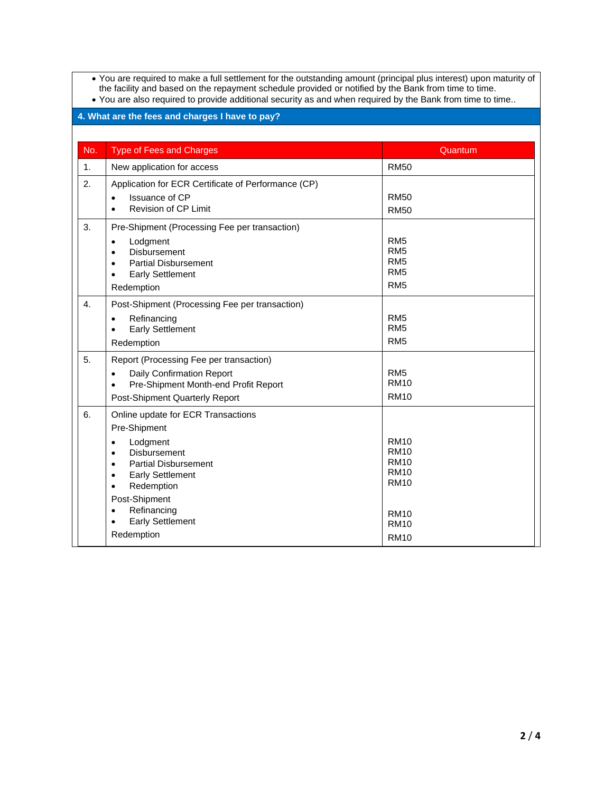• You are required to make a full settlement for the outstanding amount (principal plus interest) upon maturity of the facility and based on the repayment schedule provided or notified by the Bank from time to time.

| • You are also required to provide additional security as and when required by the Bank from time to time |  |  |
|-----------------------------------------------------------------------------------------------------------|--|--|
|-----------------------------------------------------------------------------------------------------------|--|--|

| 4. What are the fees and charges I have to pay? |                                                                                                                                                                                                                                                                                                                      |                                                                                                                      |  |  |
|-------------------------------------------------|----------------------------------------------------------------------------------------------------------------------------------------------------------------------------------------------------------------------------------------------------------------------------------------------------------------------|----------------------------------------------------------------------------------------------------------------------|--|--|
|                                                 |                                                                                                                                                                                                                                                                                                                      |                                                                                                                      |  |  |
| No.                                             | <b>Type of Fees and Charges</b>                                                                                                                                                                                                                                                                                      | Quantum                                                                                                              |  |  |
| 1.                                              | New application for access                                                                                                                                                                                                                                                                                           | <b>RM50</b>                                                                                                          |  |  |
| 2.                                              | Application for ECR Certificate of Performance (CP)<br>Issuance of CP<br>Revision of CP Limit                                                                                                                                                                                                                        | <b>RM50</b><br><b>RM50</b>                                                                                           |  |  |
| 3.                                              | Pre-Shipment (Processing Fee per transaction)<br>Lodgment<br>$\bullet$<br>Disbursement<br>$\bullet$<br><b>Partial Disbursement</b><br>$\bullet$<br><b>Early Settlement</b><br>Redemption                                                                                                                             | RM <sub>5</sub><br>RM <sub>5</sub><br>RM <sub>5</sub><br>RM <sub>5</sub><br>RM <sub>5</sub>                          |  |  |
| $\overline{4}$ .                                | Post-Shipment (Processing Fee per transaction)<br>Refinancing<br>$\bullet$<br><b>Early Settlement</b><br>$\bullet$<br>Redemption                                                                                                                                                                                     | RM <sub>5</sub><br>RM <sub>5</sub><br>RM <sub>5</sub>                                                                |  |  |
| 5.                                              | Report (Processing Fee per transaction)<br><b>Daily Confirmation Report</b><br>Pre-Shipment Month-end Profit Report<br>Post-Shipment Quarterly Report                                                                                                                                                                | RM <sub>5</sub><br><b>RM10</b><br><b>RM10</b>                                                                        |  |  |
| 6.                                              | Online update for ECR Transactions<br>Pre-Shipment<br>Lodgment<br><b>Disbursement</b><br>$\bullet$<br><b>Partial Disbursement</b><br>$\bullet$<br><b>Early Settlement</b><br>$\bullet$<br>Redemption<br>$\bullet$<br>Post-Shipment<br>Refinancing<br>$\bullet$<br><b>Early Settlement</b><br>$\bullet$<br>Redemption | <b>RM10</b><br><b>RM10</b><br><b>RM10</b><br><b>RM10</b><br><b>RM10</b><br><b>RM10</b><br><b>RM10</b><br><b>RM10</b> |  |  |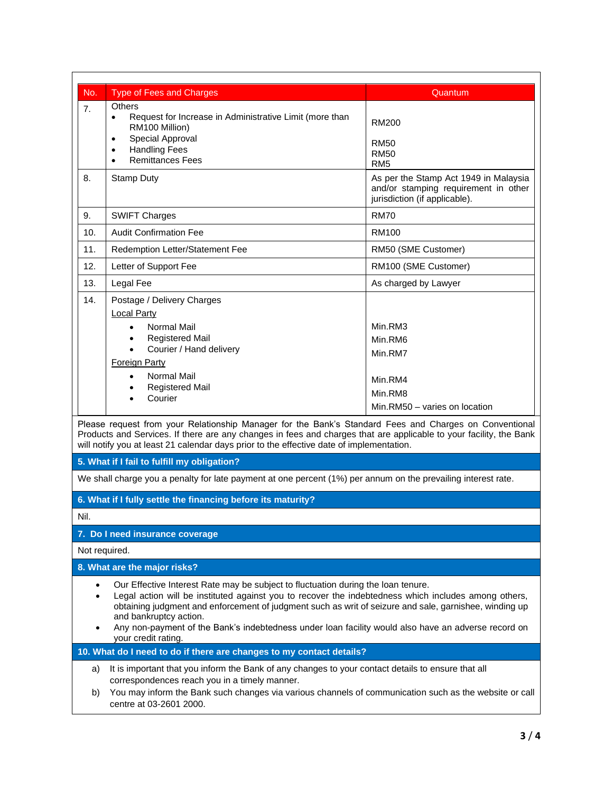| No.  | <b>Type of Fees and Charges</b>                                                                                                                                                                                                                                                                                                                                                                                                                             | Quantum                                                                                                        |
|------|-------------------------------------------------------------------------------------------------------------------------------------------------------------------------------------------------------------------------------------------------------------------------------------------------------------------------------------------------------------------------------------------------------------------------------------------------------------|----------------------------------------------------------------------------------------------------------------|
| 7.   | Others<br>Request for Increase in Administrative Limit (more than<br>$\bullet$<br>RM100 Million)<br>Special Approval<br>$\bullet$<br><b>Handling Fees</b><br>$\bullet$<br><b>Remittances Fees</b><br>$\bullet$                                                                                                                                                                                                                                              | <b>RM200</b><br><b>RM50</b><br><b>RM50</b><br>RM <sub>5</sub>                                                  |
| 8.   | Stamp Duty                                                                                                                                                                                                                                                                                                                                                                                                                                                  | As per the Stamp Act 1949 in Malaysia<br>and/or stamping requirement in other<br>jurisdiction (if applicable). |
| 9.   | <b>SWIFT Charges</b>                                                                                                                                                                                                                                                                                                                                                                                                                                        | <b>RM70</b>                                                                                                    |
| 10.  | <b>Audit Confirmation Fee</b>                                                                                                                                                                                                                                                                                                                                                                                                                               | <b>RM100</b>                                                                                                   |
| 11.  | Redemption Letter/Statement Fee                                                                                                                                                                                                                                                                                                                                                                                                                             | RM50 (SME Customer)                                                                                            |
| 12.  | Letter of Support Fee                                                                                                                                                                                                                                                                                                                                                                                                                                       | RM100 (SME Customer)                                                                                           |
| 13.  | Legal Fee                                                                                                                                                                                                                                                                                                                                                                                                                                                   | As charged by Lawyer                                                                                           |
| 14.  | Postage / Delivery Charges<br><b>Local Party</b><br><b>Normal Mail</b><br><b>Registered Mail</b><br>Courier / Hand delivery<br><b>Foreign Party</b><br><b>Normal Mail</b><br>$\bullet$<br>Registered Mail<br>٠<br>Courier                                                                                                                                                                                                                                   | Min.RM3<br>Min.RM6<br>Min.RM7<br>Min.RM4<br>Min.RM8<br>Min.RM50 - varies on location                           |
|      | Please request from your Relationship Manager for the Bank's Standard Fees and Charges on Conventional<br>Products and Services. If there are any changes in fees and charges that are applicable to your facility, the Bank<br>will notify you at least 21 calendar days prior to the effective date of implementation.                                                                                                                                    |                                                                                                                |
|      | 5. What if I fail to fulfill my obligation?                                                                                                                                                                                                                                                                                                                                                                                                                 |                                                                                                                |
|      | We shall charge you a penalty for late payment at one percent (1%) per annum on the prevailing interest rate.                                                                                                                                                                                                                                                                                                                                               |                                                                                                                |
|      | 6. What if I fully settle the financing before its maturity?                                                                                                                                                                                                                                                                                                                                                                                                |                                                                                                                |
| Nil. |                                                                                                                                                                                                                                                                                                                                                                                                                                                             |                                                                                                                |
|      | 7. Do I need insurance coverage                                                                                                                                                                                                                                                                                                                                                                                                                             |                                                                                                                |
|      | Not required.                                                                                                                                                                                                                                                                                                                                                                                                                                               |                                                                                                                |
|      | 8. What are the major risks?                                                                                                                                                                                                                                                                                                                                                                                                                                |                                                                                                                |
|      | Our Effective Interest Rate may be subject to fluctuation during the loan tenure.<br>Legal action will be instituted against you to recover the indebtedness which includes among others,<br>obtaining judgment and enforcement of judgment such as writ of seizure and sale, garnishee, winding up<br>and bankruptcy action.<br>Any non-payment of the Bank's indebtedness under loan facility would also have an adverse record on<br>your credit rating. |                                                                                                                |

**10. What do I need to do if there are changes to my contact details?**

- a) It is important that you inform the Bank of any changes to your contact details to ensure that all correspondences reach you in a timely manner.
- b) You may inform the Bank such changes via various channels of communication such as the website or call centre at 03-2601 2000.